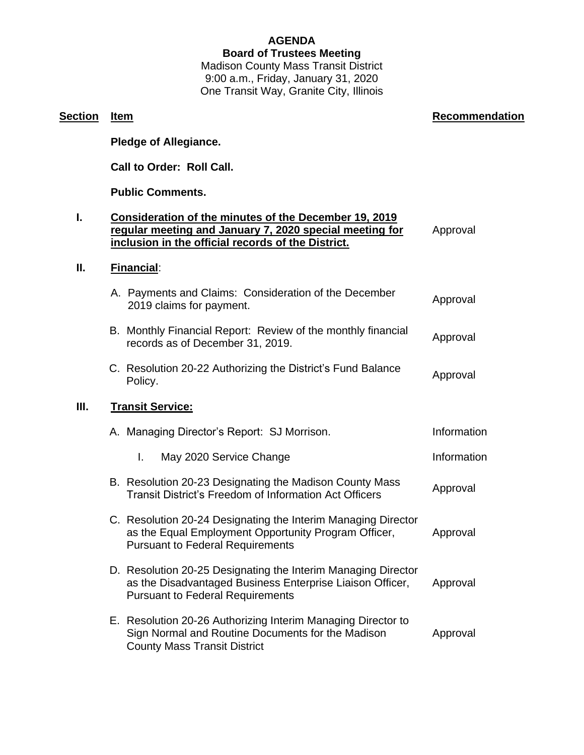## **AGENDA**

#### **Board of Trustees Meeting**

Madison County Mass Transit District 9:00 a.m., Friday, January 31, 2020 One Transit Way, Granite City, Illinois

**Section Item Recommendation Recommendation** 

# **Pledge of Allegiance. Call to Order: Roll Call. Public Comments. I. Consideration of the minutes of the December 19, 2019 regular meeting and January 7, 2020 special meeting for inclusion in the official records of the District.** Approval **II. Financial**: A. Payments and Claims: Consideration of the December r ayments and Claims. Consideration of the December 40 Approval B. Monthly Financial Report: Review of the monthly financial monthly mancial report. Review of the monthly infancial Approval C. Resolution 20-22 Authorizing the District's Fund Balance Policy. Approval **III. Transit Service:** A. Managing Director's Report: SJ Morrison. The Information I. May 2020 Service Change **Information** B. Resolution 20-23 Designating the Madison County Mass **Tresolution 20-23 Designating the Madison County Mass Approval**<br>Transit District's Freedom of Information Act Officers C. Resolution 20-24 Designating the Interim Managing Director as the Equal Employment Opportunity Program Officer, Pursuant to Federal Requirements Approval D. Resolution 20-25 Designating the Interim Managing Director as the Disadvantaged Business Enterprise Liaison Officer, Pursuant to Federal Requirements Approval E. Resolution 20-26 Authorizing Interim Managing Director to Sign Normal and Routine Documents for the Madison County Mass Transit District Approval